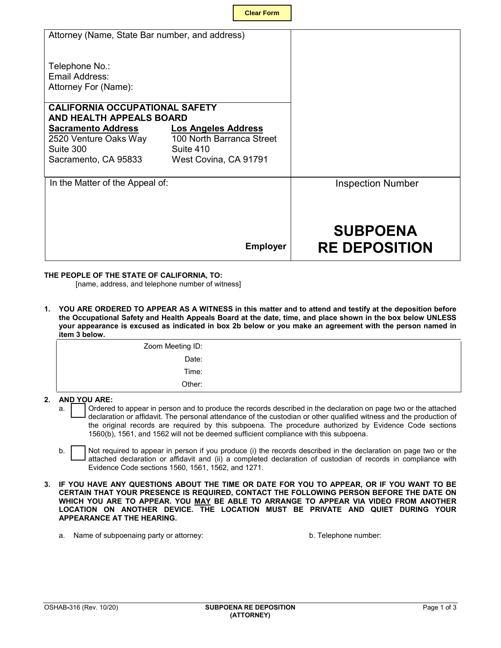| <b>Clear Form</b> |  |
|-------------------|--|
|                   |  |

| Attorney (Name, State Bar number, and address)                    |                                        |                                         |
|-------------------------------------------------------------------|----------------------------------------|-----------------------------------------|
| Telephone No.:<br>Email Address:<br>Attorney For (Name):          |                                        |                                         |
| <b>CALIFORNIA OCCUPATIONAL SAFETY</b><br>AND HEALTH APPEALS BOARD |                                        |                                         |
| <b>Sacramento Address</b>                                         | <b>Los Angeles Address</b>             |                                         |
| 2520 Venture Oaks Way<br>Suite 300                                | 100 North Barranca Street<br>Suite 410 |                                         |
| Sacramento, CA 95833                                              | West Covina, CA 91791                  |                                         |
| In the Matter of the Appeal of:                                   |                                        | <b>Inspection Number</b>                |
|                                                                   |                                        |                                         |
|                                                                   | <b>Employer</b>                        | <b>SUBPOENA</b><br><b>RE DEPOSITION</b> |

## **THE PEOPLE OF THE STATE OF CALIFORNIA, TO:**

[name, address, and telephone number of witness]

 **1. YOU ARE ORDERED TO APPEAR AS A WITNESS in this matter and to attend and testify at the deposition before the Occupational Safety and Health Appeals Board at the date, time, and place shown in the box below UNLESS your appearance is excused as indicated in box 2b below or you make an agreement with the person named in item 3 below.**

| Zoom Meeting ID: |  |
|------------------|--|
| Date:            |  |
| Time:            |  |
| Other:           |  |

## **2. AND YOU ARE:**

- declaration or affidavit. The personal attendance of the custodian or other qualified witness and the production of a. Cordered to appear in person and to produce the records described in the declaration on page two or the attached the original records are required by this subpoena. The procedure authorized by Evidence Code sections 1560(b), 1561, and 1562 will not be deemed sufficient compliance with this subpoena.
- Not required to appear in person if you produce (i) the records described in the declaration on page two or the attached declaration or affidavit and (ii) a completed declaration of custodian of records in compliance with Evidence Code sections 1560, 1561, 1562, and 1271. b.
- **3. IF YOU HAVE ANY QUESTIONS ABOUT THE TIME OR DATE FOR YOU TO APPEAR, OR IF YOU WANT TO BE CERTAIN THAT YOUR PRESENCE IS REQUIRED, CONTACT THE FOLLOWING PERSON BEFORE THE DATE ON WHICH YOU ARE TO APPEAR. YOU MAY BE ABLE TO ARRANGE TO APPEAR VIA VIDEO FROM ANOTHER LOCATION ON ANOTHER DEVICE. THE LOCATION MUST BE PRIVATE AND QUIET DURING YOUR APPEARANCE AT THE HEARING.**
	- a. Name of subpoenaing party or attorney: b. Telephone number: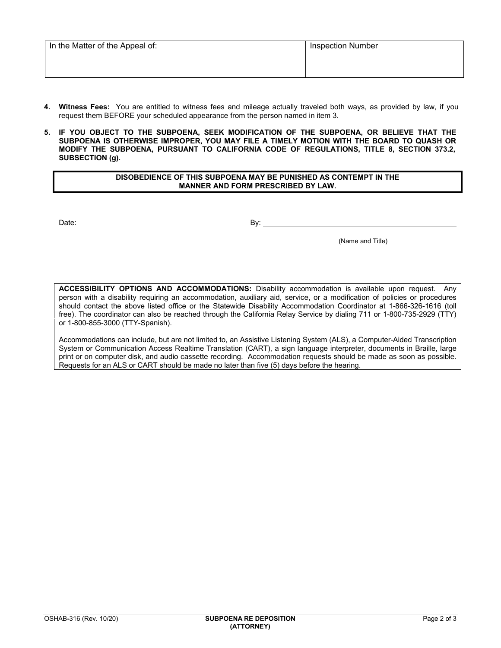| In the Matter of the Appeal of: | <b>Inspection Number</b> |  |  |
|---------------------------------|--------------------------|--|--|
|                                 |                          |  |  |
|                                 |                          |  |  |

- **4. Witness Fees:** You are entitled to witness fees and mileage actually traveled both ways, as provided by law, if you request them BEFORE your scheduled appearance from the person named in item 3.
- **5. IF YOU OBJECT TO THE SUBPOENA, SEEK MODIFICATION OF THE SUBPOENA, OR BELIEVE THAT THE SUBPOENA IS OTHERWISE IMPROPER, YOU MAY FILE A TIMELY MOTION WITH THE BOARD TO QUASH OR MODIFY THE SUBPOENA, PURSUANT TO CALIFORNIA CODE OF REGULATIONS, TITLE 8, SECTION 373.2, SUBSECTION (g).**

## **DISOBEDIENCE OF THIS SUBPOENA MAY BE PUNISHED AS CONTEMPT IN THE MANNER AND FORM PRESCRIBED BY LAW.**

Date: By: Books and the set of the set of the set of the set of the set of the set of the set of the set of the set of the set of the set of the set of the set of the set of the set of the set of the set of the set of the

 $\overline{a}$ 

(Name and Title)

 **ACCESSIBILITY OPTIONS AND ACCOMMODATIONS:** Disability accommodation is available upon request. Any should contact the above listed office or the Statewide Disability Accommodation Coordinator at 1-866-326-1616 (toll free). The coordinator can also be reached through the California Relay Service by dialing 711 or 1-800-735-2929 (TTY) person with a disability requiring an accommodation, auxiliary aid, service, or a modification of policies or procedures or 1-800-855-3000 (TTY-Spanish).

 System or Communication Access Realtime Translation (CART), a sign language interpreter, documents in Braille, large print or on computer disk, and audio cassette recording. Accommodation requests should be made as soon as possible. Accommodations can include, but are not limited to, an Assistive Listening System (ALS), a Computer-Aided Transcription Requests for an ALS or CART should be made no later than five (5) days before the hearing.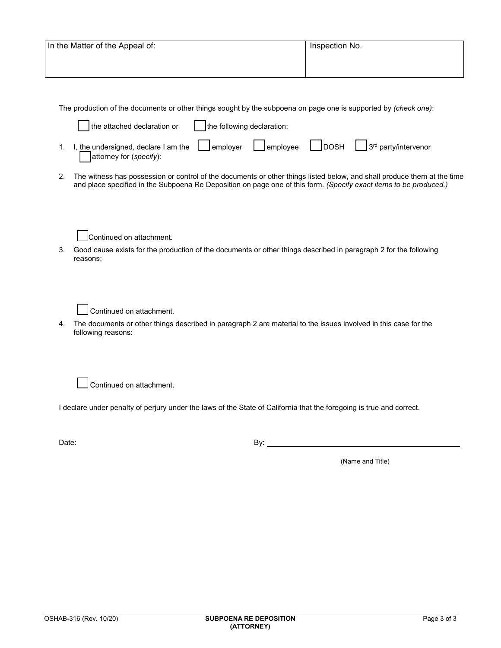| In the Matter of the Appeal of: | Inspection No. |
|---------------------------------|----------------|
|                                 |                |

The production of the documents or other things sought by the subpoena on page one is supported by *(check one)*:

| the attached declaration or $\ $ the following declaration:                                                          |  |  |
|----------------------------------------------------------------------------------------------------------------------|--|--|
| 1. I, the undersigned, declare I am the employer employee DDOSH $3^{rd}$ party/intervenor<br>attorney for (specify): |  |  |

2. The witness has possession or control of the documents or other things listed below, and shall produce them at the time and place specified in the Subpoena Re Deposition on page one of this form. *(Specify exact items to be produced.)*



3. Good cause exists for the production of the documents or other things described in paragraph 2 for the following reasons:

Continued on attachment.

4. The documents or other things described in paragraph 2 are material to the issues involved in this case for the following reasons:

Continued on attachment.

I declare under penalty of perjury under the laws of the State of California that the foregoing is true and correct.

Date: By:

l

(Name and Title)